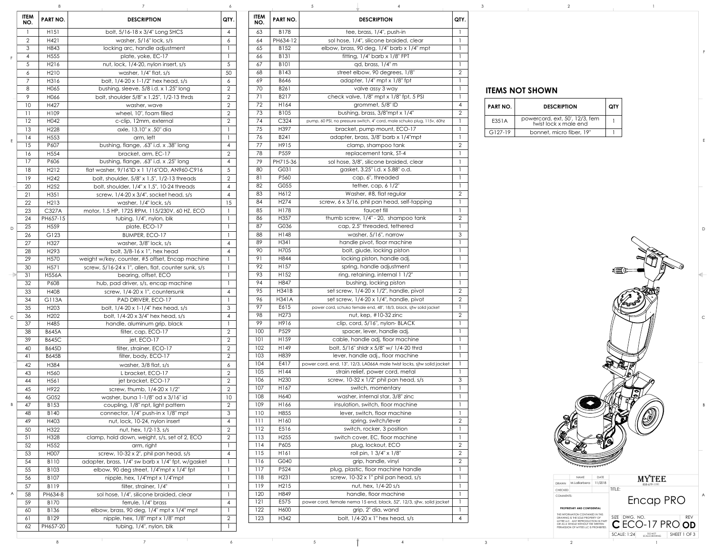## **ITEMS NOT SHOWN**

| PART NO.  | <b>DESCRIPTION</b>                                      | <b>QTY</b> |
|-----------|---------------------------------------------------------|------------|
| E351A     | powercord, ext, 50', 12/3, fem<br>twist lock x male end |            |
| $G127-19$ | bonnet, micro fiber, 19"                                |            |

| ITEM<br>NO.     | PART NO.                 | <b>DESCRIPTION</b>                                                 | QTY.           | ITEM<br>NO. | PART NO.                 | <b>DESCRIPTION</b>                                                                            | QTY.           |                        |                                                                                                                  |                                                  |
|-----------------|--------------------------|--------------------------------------------------------------------|----------------|-------------|--------------------------|-----------------------------------------------------------------------------------------------|----------------|------------------------|------------------------------------------------------------------------------------------------------------------|--------------------------------------------------|
|                 | H <sub>151</sub>         | bolt, 5/16-18 x 3/4" Long SHCS                                     | 4              | 63          | B178                     | tee, brass, 1/4", push-in                                                                     |                |                        |                                                                                                                  |                                                  |
| $\overline{2}$  | H421                     | washer, 5/16" lock, s/s                                            | 6              | 64          | PH634-12                 | sol hose, 1/4", silicone braided, clear                                                       |                |                        |                                                                                                                  |                                                  |
| $\mathcal{S}$   | H843                     | locking arc, handle adjustment                                     |                | 65          | B152                     | elbow, brass, 90 deg, 1/4" barb x 1/4" mpt                                                    |                |                        |                                                                                                                  |                                                  |
| $\overline{4}$  | H <sub>555</sub>         | plate, yoke, EC-17                                                 |                | 66          | <b>B131</b>              | fitting, $1/4$ " barb x $1/8$ " FPT                                                           |                |                        |                                                                                                                  |                                                  |
| $5\overline{)}$ | H216                     | nut, lock, 1/4-20, nylon insert, s/s                               | 5 <sup>5</sup> | 67          | <b>B101</b>              | $qd$ , brass, $1/4"$ m                                                                        |                |                        |                                                                                                                  |                                                  |
| 6               | H <sub>2</sub> 10        | washer, $1/4$ " flat, $s/s$                                        | 50             | 68          | B143                     | street elbow, 90 degrees, 1/8"                                                                | $\overline{2}$ |                        |                                                                                                                  |                                                  |
| $\overline{7}$  | H316                     | bolt, 1/4-20 x 1-1/2" hex head, s/s                                | 6              | 69          | B646                     | adapter, $1/4$ " mpt x $1/8$ " fpt                                                            |                |                        |                                                                                                                  |                                                  |
| 8               | H065                     | bushing, sleeve, $5/8$ i.d. x 1.25" long                           | 2              | 70          | B261                     | valve assy 3 way                                                                              |                | <b>ITEMS NOT SHOWN</b> |                                                                                                                  |                                                  |
| 9               | H066                     | bolt, shoulder 5/8" x 1.25", 1/2-13 thrds                          | $\overline{2}$ | 71          | B217                     | check valve, $1/8$ " mpt x $1/8$ " fpt, 5 PSI                                                 |                |                        |                                                                                                                  |                                                  |
| 10              | H427                     | washer, wave                                                       |                | 72          | H164                     | grommet, 5/8" ID                                                                              | $\overline{4}$ | <b>PART NO.</b>        | <b>DESCRIPTION</b>                                                                                               | <b>QTY</b>                                       |
| 11              | H109                     | wheel, 10", foam filled                                            |                | 73          | B105                     | bushing, brass, 3/8"mpt x 1/4"                                                                | $\overline{2}$ |                        | powercord, ext, 50', 12/3, fem                                                                                   |                                                  |
| 12              | H042                     | c-clip, 12mm, external                                             |                | 74          | C324                     | pump, 60 PSI, no pressure switch, 4" cord, male schuko plug, 115v, 60hz                       |                | E351A                  | twist lock x male end                                                                                            |                                                  |
| 13              | H <sub>228</sub>         | axle, 13.10" x .50" dia                                            |                | 75<br>76    | H397                     | bracket, pump mount, ECO-17                                                                   |                | G127-19                | bonnet, micro fiber, 19"                                                                                         |                                                  |
| 14              | H <sub>553</sub><br>P607 | arm, left                                                          |                | 77          | B241<br>H915             | adapter, brass, 3/8" barb x 1/4"mpt                                                           | $\overline{2}$ |                        |                                                                                                                  |                                                  |
| 15              |                          | bushing, flange, .63" i.d. x .38" long                             | $\overline{4}$ | 78          | P559                     | clamp, shampoo tank<br>replacement tank, ST-4                                                 |                |                        |                                                                                                                  |                                                  |
| 16<br>17        | H554<br>P606             | bracket, arm, EC-17<br>bushing, flange, .63" i.d. x .25" long      | $\overline{4}$ | 79          | PH715-36                 | sol hose, 3/8", silicone braided, clear                                                       |                |                        |                                                                                                                  |                                                  |
| 18              | H <sub>2</sub> 12        | flat washer, 9/16"ID x 1 1/16"OD, AN960-C916                       |                | 80          | G031                     | gasket, 3.25" i.d. x 5.88" o.d.                                                               |                |                        |                                                                                                                  |                                                  |
| 19              | H <sub>242</sub>         | bolt, shoulder, 5/8" x 1.5", 1/2-13 threads                        |                | 81          | P560                     | cap, 6", threaded                                                                             |                |                        |                                                                                                                  |                                                  |
| 20              | H <sub>252</sub>         | bolt, shoulder, $1/4$ " x $1.5$ ", $10-24$ threads                 |                | 82          | G055                     | tether, $cap, 61/2"$                                                                          |                |                        |                                                                                                                  |                                                  |
| 21              | H351                     | screw, $1/4$ -20 x $3/4$ ", socket head, s/s                       |                | 83          | H612                     | Washer, #8, flat regular                                                                      | $\overline{2}$ |                        |                                                                                                                  |                                                  |
| 22              | H213                     | washer, $1/4$ " lock, $s/s$                                        | 15             | 84          | H <sub>274</sub>         | screw, 6 x 3/16, phil pan head, self-tapping                                                  |                |                        |                                                                                                                  |                                                  |
| 23              | C327A                    | motor, 1.5 HP, 1725 RPM, 115/230V, 60 HZ, ECO                      |                | 85          | H178                     | faucet fill                                                                                   |                |                        |                                                                                                                  |                                                  |
| 24              | PH657-15                 | tubing, 1/4", nylon, blk                                           |                | 86          | H357                     | thumb screw, 1/4" - 20, shampoo tank                                                          | $\overline{2}$ |                        |                                                                                                                  |                                                  |
| 25              | H <sub>559</sub>         | plate, ECO-17                                                      |                | 87          | G036                     | cap, 2.5" threaded, tethered                                                                  |                |                        |                                                                                                                  |                                                  |
| 26              | G123                     | BUMPER, ECO-17                                                     |                | 88          | H148                     | washer, 5/16", narrow                                                                         | $\mathfrak{Z}$ |                        |                                                                                                                  |                                                  |
| 27              | H327                     | washer, 3/8" lock, s/s                                             |                | 89          | H341                     | handle pivot, floor machine                                                                   |                |                        |                                                                                                                  |                                                  |
| 28              | H <sub>293</sub>         | bolt, $3/8-16 \times 1$ ", hex head                                |                | 90          | H705                     | bolt, giude, locking piston                                                                   |                |                        |                                                                                                                  |                                                  |
| 29              | H <sub>570</sub>         | weight w/key, counter, #5 offset, Encap machine                    |                | 91          | H844                     | locking piston, handle adj.                                                                   |                |                        |                                                                                                                  |                                                  |
| 30              | H <sub>571</sub>         | screw, 5/16-24 x 1", allen, flat, counter sunk, s/s                |                | 92          | H157                     | spring, handle adjustment                                                                     |                |                        |                                                                                                                  |                                                  |
| 31              | <b>H556A</b>             | bearing, offset, ECO                                               |                | 93          | H152                     | ring, retaining, internal 1 1/2"                                                              |                |                        |                                                                                                                  |                                                  |
| 32              | P608                     | hub, pad driver, s/s, encap machine                                |                | 94          | H847                     | bushing, locking piston                                                                       |                |                        |                                                                                                                  |                                                  |
| 33              | H408                     | screw, 1/4-20 x 1", countersunk                                    |                | 95          | H341B                    | set screw, 1/4-20 x 1/2", handle, pivot                                                       | $\overline{2}$ |                        |                                                                                                                  |                                                  |
| 34              | G113A                    | PAD DRIVER, ECO-17                                                 |                | 96          | <b>H341A</b>             | set screw, $1/4-20 \times 1/4$ ", handle, pivot                                               | $\overline{2}$ |                        |                                                                                                                  |                                                  |
| 35              | H <sub>203</sub>         | bolt, 1/4-20 x 1-1/4" hex head, s/s                                |                | 97          | E615<br>H <sub>273</sub> | power cord, schuko female end, 48", 18/3, black, sjtw solid jacket                            |                |                        |                                                                                                                  |                                                  |
| 36              | H <sub>202</sub>         | bolt, 1/4-20 x 3/4" hex head, s/s                                  |                | 98<br>99    | H916                     | nut, kep, $\#10-32$ zinc<br>clip, cord, 5/16", nylon-BLACK                                    | $\overline{2}$ |                        |                                                                                                                  |                                                  |
| 37<br>38        | H485<br><b>B645A</b>     | handle, aluminum grip, black<br>filter, cap, ECO-17                | $\overline{2}$ | 100         | P529                     | spacer, lever, handle adj.                                                                    |                |                        |                                                                                                                  |                                                  |
| 39              | <b>B645C</b>             | jet, ECO-17                                                        | $\overline{2}$ | 101         | H159                     | cable, handle adj, floor machine                                                              |                |                        |                                                                                                                  |                                                  |
| 40              | <b>B645D</b>             | filter, strainer, ECO-17                                           |                | 102         | H149                     | bolt, 5/16" shidr x 5/8" w/ 1/4-20 thrd                                                       |                |                        |                                                                                                                  |                                                  |
| 41              | <b>B645B</b>             | filter, body, ECO-17                                               | $\overline{2}$ | 103         | H839                     | lever, handle adj., floor machine                                                             |                |                        |                                                                                                                  |                                                  |
| 42              | H384                     | washer, 3/8 flat, s/s                                              | 6              | 104         | E417                     | power cord, end, 13", 12/3, LA066A male twist locks, sitw solid jacket                        |                |                        |                                                                                                                  |                                                  |
| 43              | H560                     | L bracket, ECO-17                                                  |                | 105         | H144                     | strain relief, power cord, metal                                                              |                |                        |                                                                                                                  |                                                  |
| 44              | H <sub>561</sub>         | jet bracket, ECO-17                                                | $\overline{2}$ | 106         | H <sub>230</sub>         | screw, 10-32 x 1/2" phil pan head, s/s                                                        | $\mathcal{S}$  |                        |                                                                                                                  |                                                  |
| 45              | H922                     | screw, thumb, 1/4-20 x 1/2"                                        |                | 107         | H167                     | switch, momentary                                                                             |                |                        |                                                                                                                  |                                                  |
| 46              | G052                     | washer, buna 1-1/8" od x 3/16" id                                  | 10             | 108         | H640                     | washer, internal star, 3/8" zinc                                                              |                |                        |                                                                                                                  |                                                  |
| 47              | B153                     | coupling, 1/8" npt, light pattern                                  |                | 109         | H166                     | insulation, switch, floor machine                                                             |                |                        |                                                                                                                  |                                                  |
| 48              | B140                     | connector, $1/4$ " push-in x $1/8$ " mpt                           | 3              | 110         | H855                     | lever, switch, floor machine                                                                  |                |                        |                                                                                                                  |                                                  |
| 49              | H403                     | nut, lock, 10-24, nylon insert                                     | $\overline{4}$ | 111         | H160                     | spring, switch/lever                                                                          | $\overline{2}$ |                        |                                                                                                                  | (S)                                              |
| 50              | H322                     | nut, hex, 1/2-13, s/s                                              |                | 112         | E516                     | switch, rocker, 3 position                                                                    |                |                        |                                                                                                                  |                                                  |
| 51              | H328                     | clamp, hold down, weight, s/s, set of 2, ECO                       | $\overline{2}$ | 113         | H <sub>255</sub>         | switch cover, EC, floor machine                                                               |                |                        |                                                                                                                  |                                                  |
| 52              | H <sub>552</sub>         | arm, right                                                         |                | 114         | P605                     | plug, lockout, ECO                                                                            | $\overline{2}$ |                        |                                                                                                                  |                                                  |
| 53              | H007                     | screw, 10-32 x 2", phil pan head, s/s                              |                | 115         | H <sub>161</sub>         | roll pin, 1 3/4" x 1/8"                                                                       | $\overline{2}$ |                        |                                                                                                                  |                                                  |
| 54              | <b>B110</b>              | adapter, brass, 1/4" sw barb x 1/4" fpt, w/gasket                  |                | 116         | G040                     | grip, handle, vinyl                                                                           | $\overline{2}$ |                        |                                                                                                                  |                                                  |
| 55              | B103                     | elbow, 90 deg street, $1/4$ "mpt x $1/4$ " fpt                     |                | 117         | P524                     | plug, plastic, floor machine handle                                                           |                |                        | <b>NAME</b>                                                                                                      |                                                  |
| 56              | B107                     | nipple, hex, $1/4$ "mpt x $1/4$ "mpt                               |                | 118         | H <sub>231</sub>         | screw, 10-32 x 1" phil pan head, s/s                                                          |                |                        | $DRAWN$ M.LaBarbera   11/2018                                                                                    | $M\underset{\text{858-679-}}{\text{MY}}$<br>DATE |
| 57              | B119                     | filter, strainer, 1/4"                                             |                | 119         | H215                     | nut, hex, 1/4-20 s/s                                                                          |                |                        | <b>CHECKED</b>                                                                                                   | TITLE:                                           |
| 58              | PH634-8                  | sol hose, 1/4", silicone braided, clear                            |                | 120<br>121  | H849<br>E575             | handle, floor machine<br>power cord, female nema 15 end, black, 52", 12/3, sjtw, solid jacket |                |                        | COMMENTS:                                                                                                        | Enca                                             |
| 59              | B170                     | ferrule, 1/4" brass                                                |                | 122         | H600                     | grip, 2" dia, wand                                                                            |                |                        | PROPRIETARY AND CONFIDENTIAL                                                                                     |                                                  |
| 60              | B136<br>B129             | elbow, brass, 90 deg, $1/4$ " mpt x $1/4$ " mpt                    |                | 123         | H342                     | bolt, $1/4-20 \times 1$ " hex head, s/s                                                       | $\overline{4}$ |                        | THE INFORMATION CONTAINED IN THIS<br>DRAWING IS THE SOLE PROPERTY OF                                             | SIZE DWG. NO.                                    |
| 61              | PH657-20<br>62           | nipple, hex, $1/8$ " mpt x $1/8$ " mpt<br>tubing, 1/4", nylon, blk |                |             |                          |                                                                                               |                |                        | MYTEE LLC. ANY REPRODUCTION IN PART<br>OR AS A WHOLE WITHOUT THE WRITTEN<br>PERMISSION OF MYTEE LLC IS PROHIBITE | $CECO-1$                                         |

D

C

B

E

F



A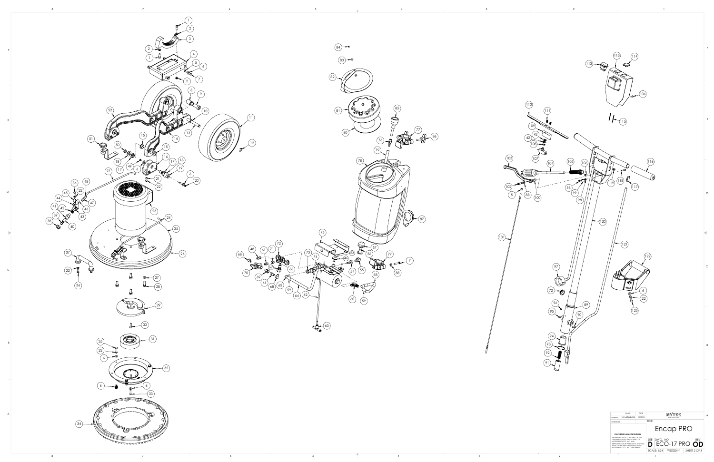

|                                                                                                                                                                                                                    | <b>NAME</b>  | DATE    |              |             |                                | TEE |  |                                     |  |
|--------------------------------------------------------------------------------------------------------------------------------------------------------------------------------------------------------------------|--------------|---------|--------------|-------------|--------------------------------|-----|--|-------------------------------------|--|
| DRAWN                                                                                                                                                                                                              | M. LaBarbera | 11/2018 | 858-679-1191 |             |                                |     |  |                                     |  |
| <b>CHECKED</b>                                                                                                                                                                                                     |              |         | TITLE:       |             |                                |     |  |                                     |  |
| PROPRIETARY AND CONFIDENTIAL                                                                                                                                                                                       |              |         | Encap PRO    |             |                                |     |  |                                     |  |
| THE INFORMATION CONTAINED IN THIS<br>DRAWING IS THE SOLE PROPERTY OF<br>MYTEE PRODUCTS, INC. ANY<br>REPRODUCTION IN PART OR AS A WHOLE<br>WITHOUT THE WRITTEN PERMISSION OF<br>MYTEE PRODUCTS, INC. IS PROHIBITED. |              |         | SI7F         | IDWG. NO.   |                                |     |  | <b>REV</b><br>ECO-17 PROI <b>OD</b> |  |
|                                                                                                                                                                                                                    |              |         |              | SCALE: 1:24 | DO NOT SCALE<br><b>DRAWING</b> |     |  | SHEET 2 OF 3                        |  |
|                                                                                                                                                                                                                    |              |         |              |             |                                |     |  |                                     |  |



 $1<sup>1</sup>$